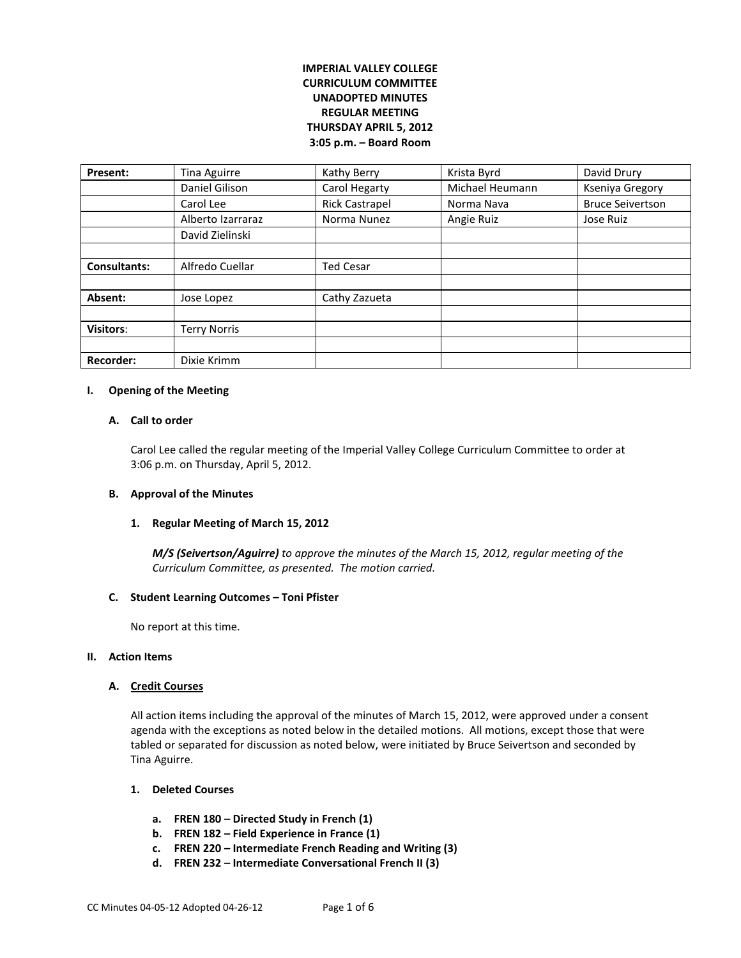# **IMPERIAL VALLEY COLLEGE CURRICULUM COMMITTEE UNADOPTED MINUTES REGULAR MEETING THURSDAY APRIL 5, 2012 3:05 p.m. – Board Room**

| Present:            | Tina Aguirre        | Kathy Berry           | Krista Byrd     | David Drury             |
|---------------------|---------------------|-----------------------|-----------------|-------------------------|
|                     | Daniel Gilison      | Carol Hegarty         | Michael Heumann | Kseniya Gregory         |
|                     | Carol Lee           | <b>Rick Castrapel</b> | Norma Nava      | <b>Bruce Seivertson</b> |
|                     | Alberto Izarraraz   | Norma Nunez           | Angie Ruiz      | Jose Ruiz               |
|                     | David Zielinski     |                       |                 |                         |
|                     |                     |                       |                 |                         |
| <b>Consultants:</b> | Alfredo Cuellar     | <b>Ted Cesar</b>      |                 |                         |
|                     |                     |                       |                 |                         |
| Absent:             | Jose Lopez          | Cathy Zazueta         |                 |                         |
|                     |                     |                       |                 |                         |
| <b>Visitors:</b>    | <b>Terry Norris</b> |                       |                 |                         |
|                     |                     |                       |                 |                         |
| <b>Recorder:</b>    | Dixie Krimm         |                       |                 |                         |

#### **I. Opening of the Meeting**

## **A. Call to order**

Carol Lee called the regular meeting of the Imperial Valley College Curriculum Committee to order at 3:06 p.m. on Thursday, April 5, 2012.

### **B. Approval of the Minutes**

### **1. Regular Meeting of March 15, 2012**

*M/S (Seivertson/Aguirre) to approve the minutes of the March 15, 2012, regular meeting of the Curriculum Committee, as presented. The motion carried.*

#### **C. Student Learning Outcomes – Toni Pfister**

No report at this time.

#### **II. Action Items**

### **A. Credit Courses**

All action items including the approval of the minutes of March 15, 2012, were approved under a consent agenda with the exceptions as noted below in the detailed motions. All motions, except those that were tabled or separated for discussion as noted below, were initiated by Bruce Seivertson and seconded by Tina Aguirre.

### **1. Deleted Courses**

- **a. FREN 180 – Directed Study in French (1)**
- **b. FREN 182 – Field Experience in France (1)**
- **c. FREN 220 – Intermediate French Reading and Writing (3)**
- **d. FREN 232 – Intermediate Conversational French II (3)**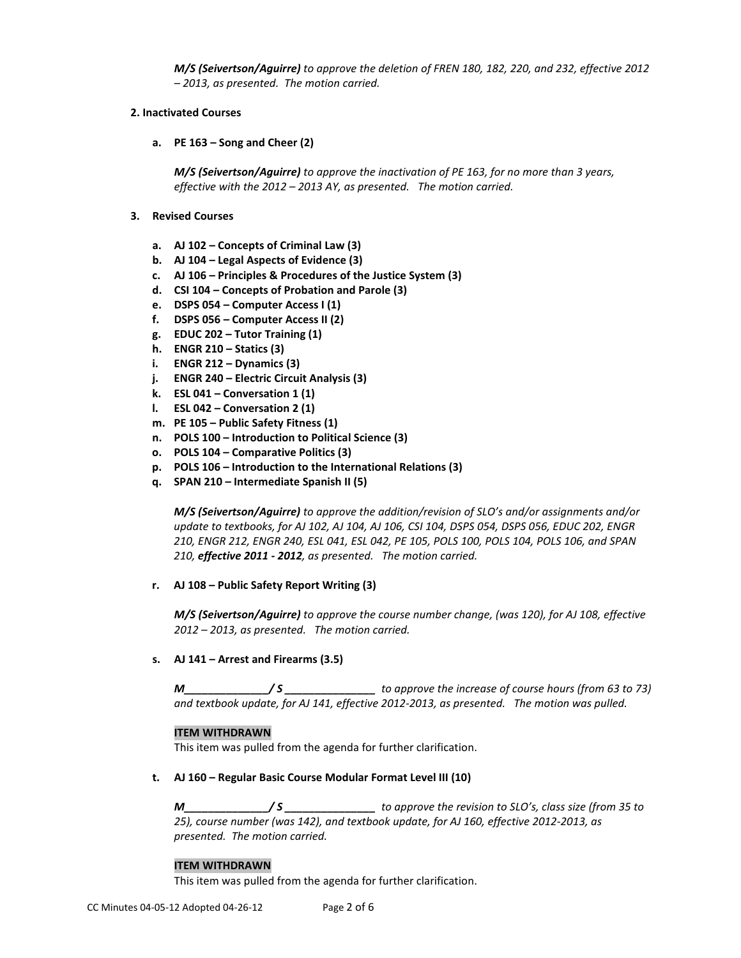*M/S (Seivertson/Aguirre) to approve the deletion of FREN 180, 182, 220, and 232, effective 2012 – 2013, as presented. The motion carried.*

## **2. Inactivated Courses**

**a. PE 163 – Song and Cheer (2)** 

*M/S (Seivertson/Aguirre) to approve the inactivation of PE 163, for no more than 3 years, effective with the 2012 – 2013 AY, as presented. The motion carried.*

- **3. Revised Courses**
	- **a. AJ 102 – Concepts of Criminal Law (3)**
	- **b. AJ 104 – Legal Aspects of Evidence (3)**
	- **c. AJ 106 – Principles & Procedures of the Justice System (3)**
	- **d. CSI 104 – Concepts of Probation and Parole (3)**
	- **e. DSPS 054 – Computer Access I (1)**
	- **f. DSPS 056 – Computer Access II (2)**
	- **g. EDUC 202 – Tutor Training (1)**
	- **h. ENGR 210 – Statics (3)**
	- **i. ENGR 212 – Dynamics (3)**
	- **j. ENGR 240 – Electric Circuit Analysis (3)**
	- **k. ESL 041 – Conversation 1 (1)**
	- **l. ESL 042 – Conversation 2 (1)**
	- **m. PE 105 – Public Safety Fitness (1)**
	- **n. POLS 100 – Introduction to Political Science (3)**
	- **o. POLS 104 – Comparative Politics (3)**
	- **p. POLS 106 – Introduction to the International Relations (3)**
	- **q. SPAN 210 – Intermediate Spanish II (5)**

*M/S (Seivertson/Aguirre) to approve the addition/revision of SLO's and/or assignments and/or update to textbooks, for AJ 102, AJ 104, AJ 106, CSI 104, DSPS 054, DSPS 056, EDUC 202, ENGR 210, ENGR 212, ENGR 240, ESL 041, ESL 042, PE 105, POLS 100, POLS 104, POLS 106, and SPAN 210, effective 2011 - 2012, as presented. The motion carried.*

**r. AJ 108 – Public Safety Report Writing (3)**

*M/S (Seivertson/Aguirre) to approve the course number change, (was 120), for AJ 108, effective 2012 – 2013, as presented. The motion carried.*

**s. AJ 141 – Arrest and Firearms (3.5)**

*M\_\_\_\_\_\_\_\_\_\_\_\_\_\_/ S \_\_\_\_\_\_\_\_\_\_\_\_\_\_\_ to approve the increase of course hours (from 63 to 73) and textbook update, for AJ 141, effective 2012-2013, as presented. The motion was pulled.*

### **ITEM WITHDRAWN**

This item was pulled from the agenda for further clarification.

### **t. AJ 160 – Regular Basic Course Modular Format Level III (10)**

*M\_\_\_\_\_\_\_\_\_\_\_\_\_\_/ S \_\_\_\_\_\_\_\_\_\_\_\_\_\_\_ to approve the revision to SLO's, class size (from 35 to 25), course number (was 142), and textbook update, for AJ 160, effective 2012-2013, as presented. The motion carried.*

### **ITEM WITHDRAWN**

This item was pulled from the agenda for further clarification.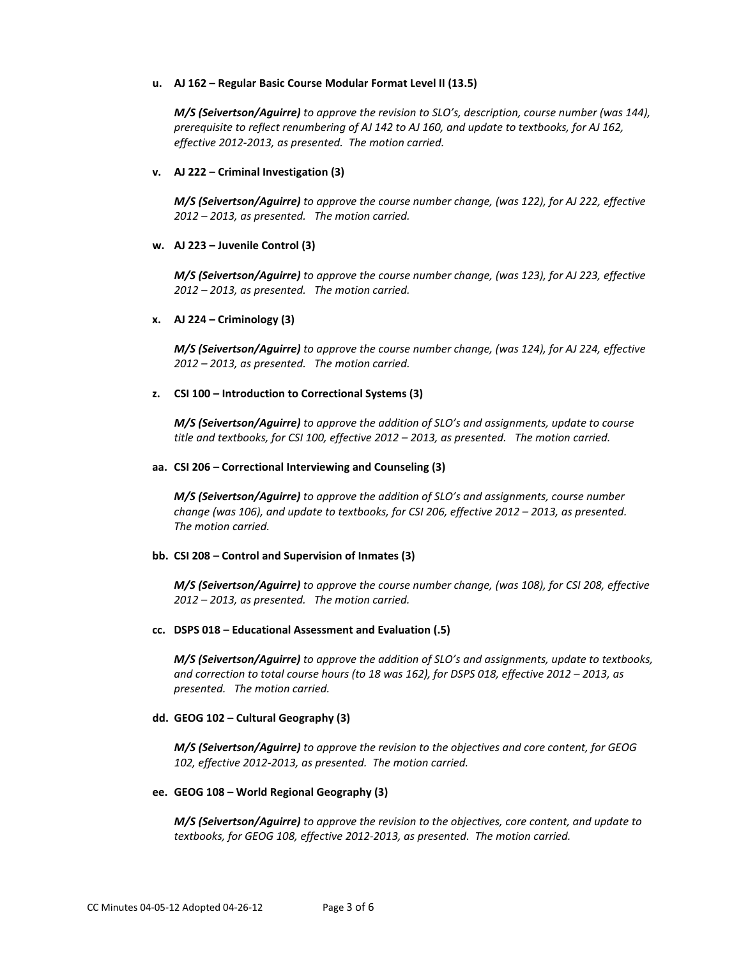### **u. AJ 162 – Regular Basic Course Modular Format Level II (13.5)**

*M/S (Seivertson/Aguirre) to approve the revision to SLO's, description, course number (was 144), prerequisite to reflect renumbering of AJ 142 to AJ 160, and update to textbooks, for AJ 162, effective 2012-2013, as presented. The motion carried.*

### **v. AJ 222 – Criminal Investigation (3)**

*M/S (Seivertson/Aguirre) to approve the course number change, (was 122), for AJ 222, effective 2012 – 2013, as presented. The motion carried.*

### **w. AJ 223 – Juvenile Control (3)**

*M/S (Seivertson/Aguirre) to approve the course number change, (was 123), for AJ 223, effective 2012 – 2013, as presented. The motion carried.*

#### **x. AJ 224 – Criminology (3)**

*M/S (Seivertson/Aguirre) to approve the course number change, (was 124), for AJ 224, effective 2012 – 2013, as presented. The motion carried.*

#### **z. CSI 100 – Introduction to Correctional Systems (3)**

*M/S (Seivertson/Aguirre) to approve the addition of SLO's and assignments, update to course title and textbooks, for CSI 100, effective 2012 – 2013, as presented. The motion carried.*

#### **aa. CSI 206 – Correctional Interviewing and Counseling (3)**

*M/S (Seivertson/Aguirre) to approve the addition of SLO's and assignments, course number change (was 106), and update to textbooks, for CSI 206, effective 2012 – 2013, as presented. The motion carried.*

### **bb. CSI 208 – Control and Supervision of Inmates (3)**

*M/S (Seivertson/Aguirre) to approve the course number change, (was 108), for CSI 208, effective 2012 – 2013, as presented. The motion carried.*

#### **cc. DSPS 018 – Educational Assessment and Evaluation (.5)**

*M/S (Seivertson/Aguirre) to approve the addition of SLO's and assignments, update to textbooks, and correction to total course hours (to 18 was 162), for DSPS 018, effective 2012 – 2013, as presented. The motion carried.*

### **dd. GEOG 102 – Cultural Geography (3)**

*M/S (Seivertson/Aguirre) to approve the revision to the objectives and core content, for GEOG 102, effective 2012-2013, as presented. The motion carried.*

#### **ee. GEOG 108 – World Regional Geography (3)**

*M/S (Seivertson/Aguirre) to approve the revision to the objectives, core content, and update to textbooks, for GEOG 108, effective 2012-2013, as presented. The motion carried.*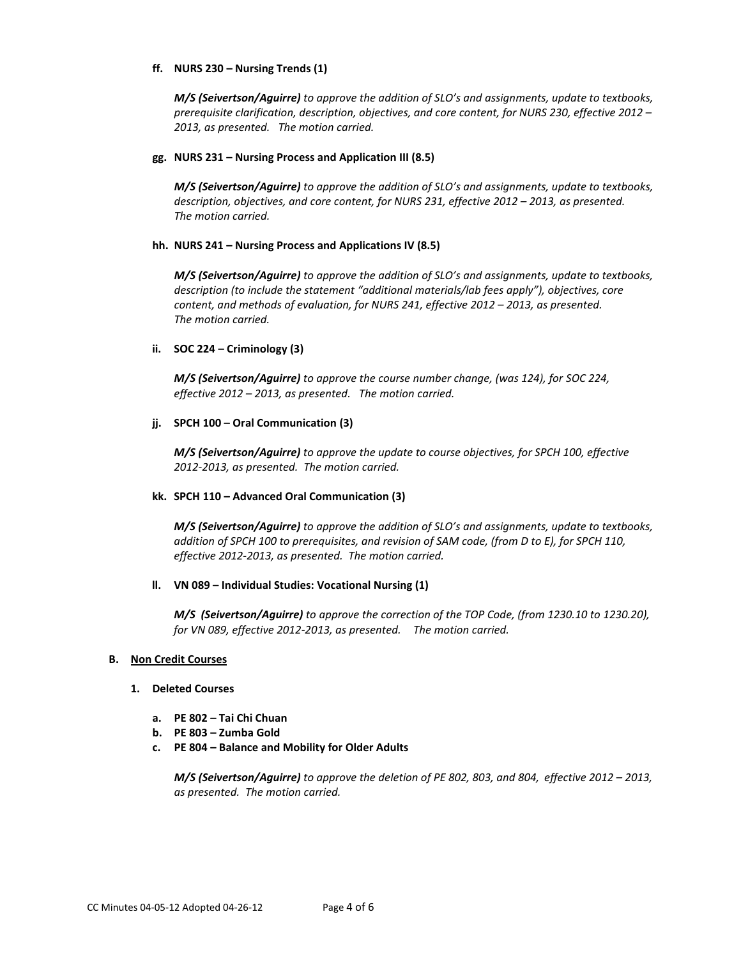### **ff. NURS 230 – Nursing Trends (1)**

*M/S (Seivertson/Aguirre) to approve the addition of SLO's and assignments, update to textbooks, prerequisite clarification, description, objectives, and core content, for NURS 230, effective 2012 – 2013, as presented. The motion carried.*

## **gg. NURS 231 – Nursing Process and Application III (8.5)**

*M/S (Seivertson/Aguirre) to approve the addition of SLO's and assignments, update to textbooks, description, objectives, and core content, for NURS 231, effective 2012 – 2013, as presented. The motion carried.*

### **hh. NURS 241 – Nursing Process and Applications IV (8.5)**

*M/S (Seivertson/Aguirre) to approve the addition of SLO's and assignments, update to textbooks, description (to include the statement "additional materials/lab fees apply"), objectives, core content, and methods of evaluation, for NURS 241, effective 2012 – 2013, as presented. The motion carried.*

## **ii. SOC 224 – Criminology (3)**

*M/S (Seivertson/Aguirre) to approve the course number change, (was 124), for SOC 224, effective 2012 – 2013, as presented. The motion carried.*

## **jj. SPCH 100 – Oral Communication (3)**

*M/S (Seivertson/Aguirre) to approve the update to course objectives, for SPCH 100, effective 2012-2013, as presented. The motion carried.*

### **kk. SPCH 110 – Advanced Oral Communication (3)**

*M/S (Seivertson/Aguirre) to approve the addition of SLO's and assignments, update to textbooks, addition of SPCH 100 to prerequisites, and revision of SAM code, (from D to E), for SPCH 110, effective 2012-2013, as presented. The motion carried.*

### **ll. VN 089 – Individual Studies: Vocational Nursing (1)**

*M/S (Seivertson/Aguirre) to approve the correction of the TOP Code, (from 1230.10 to 1230.20), for VN 089, effective 2012-2013, as presented. The motion carried.*

### **B. Non Credit Courses**

### **1. Deleted Courses**

- **a. PE 802 – Tai Chi Chuan**
- **b. PE 803 – Zumba Gold**
- **c. PE 804 – Balance and Mobility for Older Adults**

*M/S (Seivertson/Aguirre) to approve the deletion of PE 802, 803, and 804, effective 2012 – 2013, as presented. The motion carried.*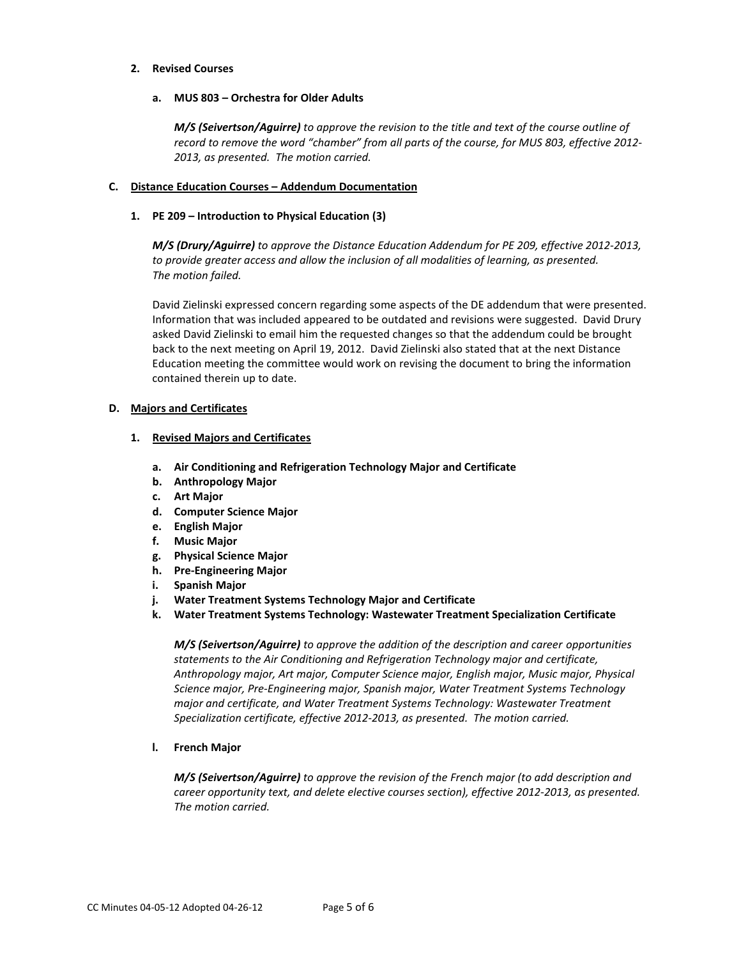### **2. Revised Courses**

## **a. MUS 803 – Orchestra for Older Adults**

*M/S (Seivertson/Aguirre) to approve the revision to the title and text of the course outline of record to remove the word "chamber" from all parts of the course, for MUS 803, effective 2012- 2013, as presented. The motion carried.*

# **C. Distance Education Courses – Addendum Documentation**

## **1. PE 209 – Introduction to Physical Education (3)**

*M/S (Drury/Aguirre) to approve the Distance Education Addendum for PE 209, effective 2012-2013, to provide greater access and allow the inclusion of all modalities of learning, as presented. The motion failed.* 

David Zielinski expressed concern regarding some aspects of the DE addendum that were presented. Information that was included appeared to be outdated and revisions were suggested. David Drury asked David Zielinski to email him the requested changes so that the addendum could be brought back to the next meeting on April 19, 2012. David Zielinski also stated that at the next Distance Education meeting the committee would work on revising the document to bring the information contained therein up to date.

# **D. Majors and Certificates**

## **1. Revised Majors and Certificates**

- **a. Air Conditioning and Refrigeration Technology Major and Certificate**
- **b. Anthropology Major**
- **c. Art Major**
- **d. Computer Science Major**
- **e. English Major**
- **f. Music Major**
- **g. Physical Science Major**
- **h. Pre-Engineering Major**
- **i. Spanish Major**
- **j. Water Treatment Systems Technology Major and Certificate**
- **k. Water Treatment Systems Technology: Wastewater Treatment Specialization Certificate**

*M/S (Seivertson/Aguirre) to approve the addition of the description and career opportunities statements to the Air Conditioning and Refrigeration Technology major and certificate, Anthropology major, Art major, Computer Science major, English major, Music major, Physical Science major, Pre-Engineering major, Spanish major, Water Treatment Systems Technology major and certificate, and Water Treatment Systems Technology: Wastewater Treatment Specialization certificate, effective 2012-2013, as presented. The motion carried.*

# **l. French Major**

*M/S (Seivertson/Aguirre) to approve the revision of the French major (to add description and career opportunity text, and delete elective courses section), effective 2012-2013, as presented. The motion carried.*